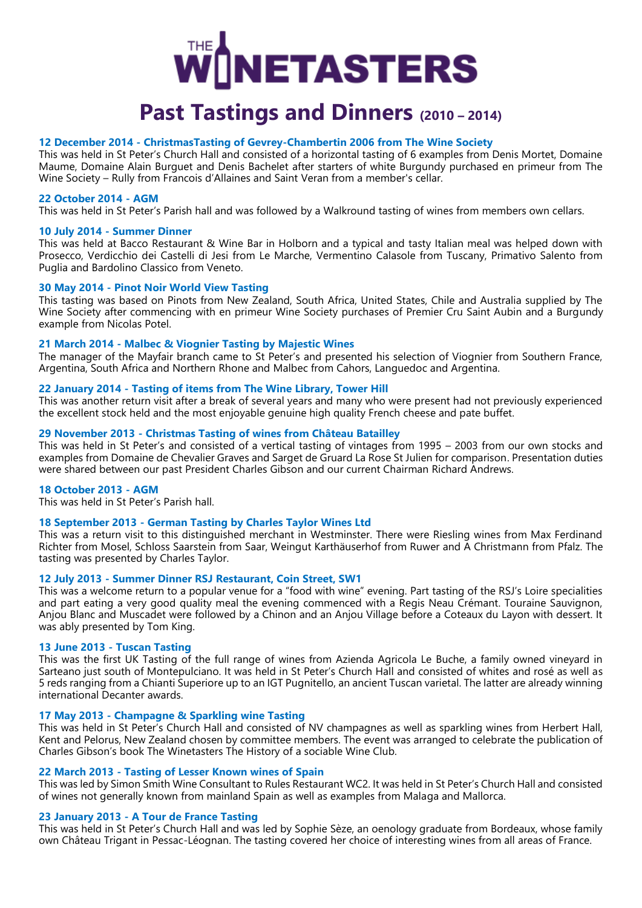

# **Past Tastings and Dinners (2010 – 2014)**

# **12 December 2014 - ChristmasTasting of Gevrey-Chambertin 2006 from The Wine Society**

This was held in St Peter's Church Hall and consisted of a horizontal tasting of 6 examples from Denis Mortet, Domaine Maume, Domaine Alain Burguet and Denis Bachelet after starters of white Burgundy purchased en primeur from The Wine Society – Rully from Francois d'Allaines and Saint Veran from a member's cellar.

# **22 October 2014 - AGM**

This was held in St Peter's Parish hall and was followed by a Walkround tasting of wines from members own cellars.

# **10 July 2014 - Summer Dinner**

This was held at Bacco Restaurant & Wine Bar in Holborn and a typical and tasty Italian meal was helped down with Prosecco, Verdicchio dei Castelli di Jesi from Le Marche, Vermentino Calasole from Tuscany, Primativo Salento from Puglia and Bardolino Classico from Veneto.

# **30 May 2014 - Pinot Noir World View Tasting**

This tasting was based on Pinots from New Zealand, South Africa, United States, Chile and Australia supplied by The Wine Society after commencing with en primeur Wine Society purchases of Premier Cru Saint Aubin and a Burgundy example from Nicolas Potel.

# **21 March 2014 - Malbec & Viognier Tasting by Majestic Wines**

The manager of the Mayfair branch came to St Peter's and presented his selection of Viognier from Southern France, Argentina, South Africa and Northern Rhone and Malbec from Cahors, Languedoc and Argentina.

# **22 January 2014 - Tasting of items from The Wine Library, Tower Hill**

This was another return visit after a break of several years and many who were present had not previously experienced the excellent stock held and the most enjoyable genuine high quality French cheese and pate buffet.

# **29 November 2013 - Christmas Tasting of wines from Château Batailley**

This was held in St Peter's and consisted of a vertical tasting of vintages from 1995 – 2003 from our own stocks and examples from Domaine de Chevalier Graves and Sarget de Gruard La Rose St Julien for comparison. Presentation duties were shared between our past President Charles Gibson and our current Chairman Richard Andrews.

# **18 October 2013 - AGM**

This was held in St Peter's Parish hall.

# **18 September 2013 - German Tasting by Charles Taylor Wines Ltd**

This was a return visit to this distinguished merchant in Westminster. There were Riesling wines from Max Ferdinand Richter from Mosel, Schloss Saarstein from Saar, Weingut Karthäuserhof from Ruwer and A Christmann from Pfalz. The tasting was presented by Charles Taylor.

# **12 July 2013 - Summer Dinner RSJ Restaurant, Coin Street, SW1**

This was a welcome return to a popular venue for a "food with wine" evening. Part tasting of the RSJ's Loire specialities and part eating a very good quality meal the evening commenced with a Regis Neau Crémant. Touraine Sauvignon, Anjou Blanc and Muscadet were followed by a Chinon and an Anjou Village before a Coteaux du Layon with dessert. It was ably presented by Tom King.

# **13 June 2013 - Tuscan Tasting**

This was the first UK Tasting of the full range of wines from Azienda Agricola Le Buche, a family owned vineyard in Sarteano just south of Montepulciano. It was held in St Peter's Church Hall and consisted of whites and rosé as well as 5 reds ranging from a Chianti Superiore up to an IGT Pugnitello, an ancient Tuscan varietal. The latter are already winning international Decanter awards.

# **17 May 2013 - Champagne & Sparkling wine Tasting**

This was held in St Peter's Church Hall and consisted of NV champagnes as well as sparkling wines from Herbert Hall, Kent and Pelorus, New Zealand chosen by committee members. The event was arranged to celebrate the publication of Charles Gibson's book The Winetasters The History of a sociable Wine Club.

# **22 March 2013 - Tasting of Lesser Known wines of Spain**

This was led by Simon Smith Wine Consultant to Rules Restaurant WC2. It was held in St Peter's Church Hall and consisted of wines not generally known from mainland Spain as well as examples from Malaga and Mallorca.

# **23 January 2013 - A Tour de France Tasting**

This was held in St Peter's Church Hall and was led by Sophie Sèze, an oenology graduate from Bordeaux, whose family own Château Trigant in Pessac-Léognan. The tasting covered her choice of interesting wines from all areas of France.